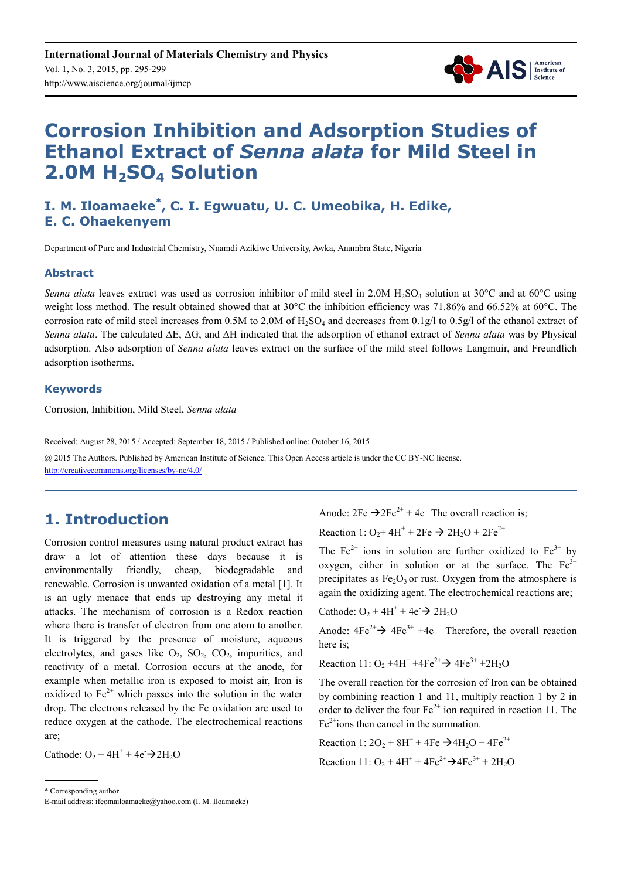

# **Corrosion Inhibition and Adsorption Studies of Ethanol Extract of** *Senna alata* **for Mild Steel in 2.0M H2SO4 Solution**

# **I. M. Iloamaeke\* , C. I. Egwuatu, U. C. Umeobika, H. Edike, E. C. Ohaekenyem**

Department of Pure and Industrial Chemistry, Nnamdi Azikiwe University, Awka, Anambra State, Nigeria

#### **Abstract**

*Senna alata* leaves extract was used as corrosion inhibitor of mild steel in 2.0M H<sub>2</sub>SO<sub>4</sub> solution at 30°C and at 60°C using weight loss method. The result obtained showed that at 30°C the inhibition efficiency was 71.86% and 66.52% at 60°C. The corrosion rate of mild steel increases from  $0.5M$  to  $2.0M$  of  $H_2SO_4$  and decreases from  $0.1g/1$  to  $0.5g/1$  of the ethanol extract of *Senna alata*. The calculated ∆E, ∆G, and ∆H indicated that the adsorption of ethanol extract of *Senna alata* was by Physical adsorption. Also adsorption of *Senna alata* leaves extract on the surface of the mild steel follows Langmuir, and Freundlich adsorption isotherms.

#### **Keywords**

Corrosion, Inhibition, Mild Steel, *Senna alata* 

Received: August 28, 2015 / Accepted: September 18, 2015 / Published online: October 16, 2015

@ 2015 The Authors. Published by American Institute of Science. This Open Access article is under the CC BY-NC license. http://creativecommons.org/licenses/by-nc/4.0/

# **1. Introduction**

Corrosion control measures using natural product extract has draw a lot of attention these days because it is environmentally friendly, cheap, biodegradable and renewable. Corrosion is unwanted oxidation of a metal [1]. It is an ugly menace that ends up destroying any metal it attacks. The mechanism of corrosion is a Redox reaction where there is transfer of electron from one atom to another. It is triggered by the presence of moisture, aqueous electrolytes, and gases like  $O_2$ ,  $SO_2$ ,  $CO_2$ , impurities, and reactivity of a metal. Corrosion occurs at the anode, for example when metallic iron is exposed to moist air, Iron is oxidized to  $Fe^{2+}$  which passes into the solution in the water drop. The electrons released by the Fe oxidation are used to reduce oxygen at the cathode. The electrochemical reactions are;

Cathode:  $O_2 + 4H^+ + 4e^- \rightarrow 2H_2O$ 

Reaction 1:  $O_2$ +4H<sup>+</sup> + 2Fe  $\rightarrow$  2H<sub>2</sub>O + 2Fe<sup>2+</sup>

The  $Fe^{2+}$  ions in solution are further oxidized to  $Fe^{3+}$  by oxygen, either in solution or at the surface. The  $Fe<sup>3+</sup>$ precipitates as  $Fe<sub>2</sub>O<sub>3</sub>$  or rust. Oxygen from the atmosphere is again the oxidizing agent. The electrochemical reactions are;

Cathode:  $O_2 + 4H^+ + 4e^- \rightarrow 2H_2O$ 

Anode:  $4Fe^{2+} \rightarrow 4Fe^{3+} + 4e^-$  Therefore, the overall reaction here is;

Reaction 11:  $O_2 + 4H^+ + 4Fe^{2+} \rightarrow 4Fe^{3+} + 2H_2O$ 

The overall reaction for the corrosion of Iron can be obtained by combining reaction 1 and 11, multiply reaction 1 by 2 in order to deliver the four  $Fe^{2+}$  ion required in reaction 11. The  $Fe<sup>2+</sup>ions$  then cancel in the summation.

Reaction 1:  $2O_2 + 8H^+ + 4Fe \rightarrow 4H_2O + 4Fe^{2+}$ Reaction 11:  $O_2 + 4H^+ + 4Fe^{2+} \rightarrow 4Fe^{3+} + 2H_2O$ 

\* Corresponding author

Anode:  $2Fe \rightarrow 2Fe^{2+} + 4e^-$  The overall reaction is:

E-mail address: ifeomailoamaeke@yahoo.com (I. M. Iloamaeke)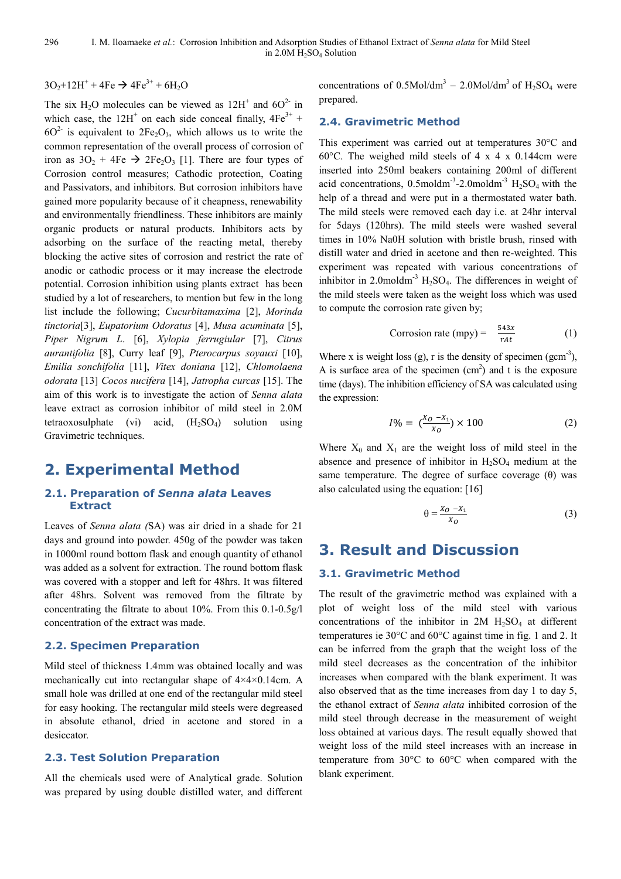### $3O_2 + 12H^+ + 4Fe \rightarrow 4Fe^{3+} + 6H_2O$

The six  $H_2O$  molecules can be viewed as  $12H^+$  and  $6O^2$  in which case, the  $12H^+$  on each side conceal finally,  $4Fe^{3+}$  +  $60<sup>2</sup>$  is equivalent to  $2Fe<sub>2</sub>O<sub>3</sub>$ , which allows us to write the common representation of the overall process of corrosion of iron as  $3O_2 + 4Fe \rightarrow 2Fe_2O_3$  [1]. There are four types of Corrosion control measures; Cathodic protection, Coating and Passivators, and inhibitors. But corrosion inhibitors have gained more popularity because of it cheapness, renewability and environmentally friendliness. These inhibitors are mainly organic products or natural products. Inhibitors acts by adsorbing on the surface of the reacting metal, thereby blocking the active sites of corrosion and restrict the rate of anodic or cathodic process or it may increase the electrode potential. Corrosion inhibition using plants extract has been studied by a lot of researchers, to mention but few in the long list include the following; *Cucurbitamaxima* [2], *Morinda tinctoria*[3], *Eupatorium Odoratus* [4], *Musa acuminata* [5], *Piper Nigrum L*. [6], *Xylopia ferrugiular* [7], *Citrus aurantifolia* [8], Curry leaf [9], *Pterocarpus soyauxi* [10], *Emilia sonchifolia* [11], *Vitex doniana* [12], *Chlomolaena odorata* [13] *Cocos nucifera* [14], *Jatropha curcas* [15]. The aim of this work is to investigate the action of *Senna alata* leave extract as corrosion inhibitor of mild steel in 2.0M tetraoxosulphate (vi) acid,  $(H_2SO_4)$  solution using Gravimetric techniques.

# **2. Experimental Method**

#### **2.1. Preparation of** *Senna alata* **Leaves Extract**

Leaves of *Senna alata (*SA) was air dried in a shade for 21 days and ground into powder. 450g of the powder was taken in 1000ml round bottom flask and enough quantity of ethanol was added as a solvent for extraction. The round bottom flask was covered with a stopper and left for 48hrs. It was filtered after 48hrs. Solvent was removed from the filtrate by concentrating the filtrate to about 10%. From this 0.1-0.5g/l concentration of the extract was made.

#### **2.2. Specimen Preparation**

Mild steel of thickness 1.4mm was obtained locally and was mechanically cut into rectangular shape of 4×4×0.14cm. A small hole was drilled at one end of the rectangular mild steel for easy hooking. The rectangular mild steels were degreased in absolute ethanol, dried in acetone and stored in a desiccator.

#### **2.3. Test Solution Preparation**

All the chemicals used were of Analytical grade. Solution was prepared by using double distilled water, and different

concentrations of  $0.5$ Mol/dm<sup>3</sup> – 2.0Mol/dm<sup>3</sup> of H<sub>2</sub>SO<sub>4</sub> were prepared.

#### **2.4. Gravimetric Method**

This experiment was carried out at temperatures 30°C and 60°C. The weighed mild steels of 4 x 4 x 0.144cm were inserted into 250ml beakers containing 200ml of different acid concentrations,  $0.5$ moldm<sup>-3</sup>-2.0moldm<sup>-3</sup> H<sub>2</sub>SO<sub>4</sub> with the help of a thread and were put in a thermostated water bath. The mild steels were removed each day i.e. at 24hr interval for 5days (120hrs). The mild steels were washed several times in 10% Na0H solution with bristle brush, rinsed with distill water and dried in acetone and then re-weighted. This experiment was repeated with various concentrations of inhibitor in 2.0moldm<sup>-3</sup>  $H_2SO_4$ . The differences in weight of the mild steels were taken as the weight loss which was used to compute the corrosion rate given by;

Corrosion rate (mpy) = 
$$
\frac{543x}{rAt}
$$
 (1)

Where x is weight loss (g), r is the density of specimen (gcm<sup>-3</sup>), A is surface area of the specimen  $(cm<sup>2</sup>)$  and t is the exposure time (days). The inhibition efficiency of SA was calculated using the expression:

$$
I\% = \left(\frac{X_0 - X_1}{X_0}\right) \times 100\tag{2}
$$

Where  $X_0$  and  $X_1$  are the weight loss of mild steel in the absence and presence of inhibitor in  $H_2SO_4$  medium at the same temperature. The degree of surface coverage  $(\theta)$  was also calculated using the equation: [16]

$$
\theta = \frac{x_0 - x_1}{x_0} \tag{3}
$$

# **3. Result and Discussion**

#### **3.1. Gravimetric Method**

The result of the gravimetric method was explained with a plot of weight loss of the mild steel with various concentrations of the inhibitor in  $2M H_2SO_4$  at different temperatures ie 30°C and 60°C against time in fig. 1 and 2. It can be inferred from the graph that the weight loss of the mild steel decreases as the concentration of the inhibitor increases when compared with the blank experiment. It was also observed that as the time increases from day 1 to day 5, the ethanol extract of *Senna alata* inhibited corrosion of the mild steel through decrease in the measurement of weight loss obtained at various days. The result equally showed that weight loss of the mild steel increases with an increase in temperature from 30°C to 60°C when compared with the blank experiment.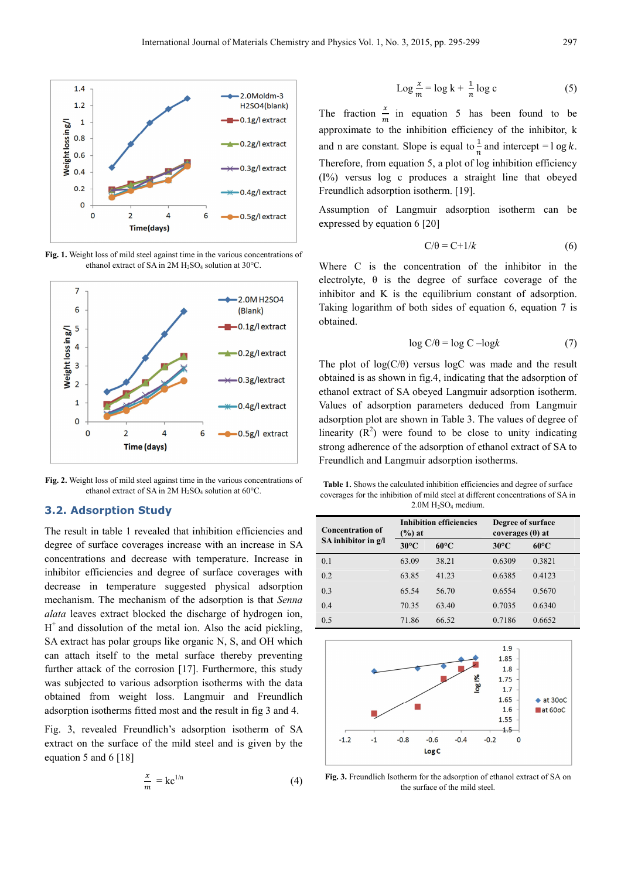

**Fig. 1.** Weight loss of mild steel against time in the various concentrations of ethanol extract of SA in  $2M H_2SO_4$  solution at 30°C.



**Fig. 2.** Weight loss of mild steel against time in the various concentrations of ethanol extract of SA in  $2M H_2SO_4$  solution at 60°C.

#### **3.2. Adsorption Study**

The result in table 1 revealed that inhibition efficiencies and degree of surface coverages increase with an increase in SA concentrations and decrease with temperature. Increase in inhibitor efficiencies and degree of surface coverages with decrease in temperature suggested physical adsorption mechanism. The mechanism of the adsorption is that *Senna alata* leaves extract blocked the discharge of hydrogen ion,  $H<sup>+</sup>$  and dissolution of the metal ion. Also the acid pickling, SA extract has polar groups like organic N, S, and OH which can attach itself to the metal surface thereby preventing further attack of the corrosion [17]. Furthermore, this study was subjected to various adsorption isotherms with the data obtained from weight loss. Langmuir and Freundlich adsorption isotherms fitted most and the result in fig 3 and 4.

Fig. 3, revealed Freundlich's adsorption isotherm of SA extract on the surface of the mild steel and is given by the equation 5 and 6 [18]

$$
\frac{x}{m} = k c^{1/n} \tag{4}
$$

$$
\text{Log } \frac{x}{m} = \log k + \frac{1}{n} \log c \tag{5}
$$

The fraction  $\frac{x}{m}$  in equation 5 has been found to be approximate to the inhibition efficiency of the inhibitor, k and n are constant. Slope is equal to  $\frac{1}{n}$  and intercept = l og k. Therefore, from equation 5, a plot of log inhibition efficiency (I%) versus log c produces a straight line that obeyed Freundlich adsorption isotherm. [19].

Assumption of Langmuir adsorption isotherm can be expressed by equation 6 [20]

$$
C/\theta = C + 1/k \tag{6}
$$

Where C is the concentration of the inhibitor in the electrolyte,  $\theta$  is the degree of surface coverage of the inhibitor and K is the equilibrium constant of adsorption. Taking logarithm of both sides of equation 6, equation 7 is obtained.

$$
\log C/\theta = \log C - \log k \tag{7}
$$

The plot of  $log(C/\theta)$  versus  $logC$  was made and the result obtained is as shown in fig.4, indicating that the adsorption of ethanol extract of SA obeyed Langmuir adsorption isotherm. Values of adsorption parameters deduced from Langmuir adsorption plot are shown in Table 3. The values of degree of linearity  $(R^2)$  were found to be close to unity indicating strong adherence of the adsorption of ethanol extract of SA to Freundlich and Langmuir adsorption isotherms.

**Table 1.** Shows the calculated inhibition efficiencies and degree of surface coverages for the inhibition of mild steel at different concentrations of SA in  $2.0M H<sub>2</sub>SO<sub>4</sub> medium.$ 

| <b>Concentration of</b><br>SA inhibitor in $g/I$ | <b>Inhibition efficiencies</b><br>$\frac{9}{6}$ at |                | Degree of surface<br>coverages $(\theta)$ at |                |
|--------------------------------------------------|----------------------------------------------------|----------------|----------------------------------------------|----------------|
|                                                  | $30^{\circ}$ C                                     | $60^{\circ}$ C | $30^{\circ}$ C                               | $60^{\circ}$ C |
| 0.1                                              | 63.09                                              | 38.21          | 0.6309                                       | 0.3821         |
| 0.2                                              | 63.85                                              | 41.23          | 0.6385                                       | 0.4123         |
| 0.3                                              | 65.54                                              | 56.70          | 0.6554                                       | 0.5670         |
| 0.4                                              | 70.35                                              | 63.40          | 0.7035                                       | 0.6340         |
| 0.5                                              | 71.86                                              | 66.52          | 0.7186                                       | 0.6652         |



**Fig. 3.** Freundlich Isotherm for the adsorption of ethanol extract of SA on the surface of the mild steel.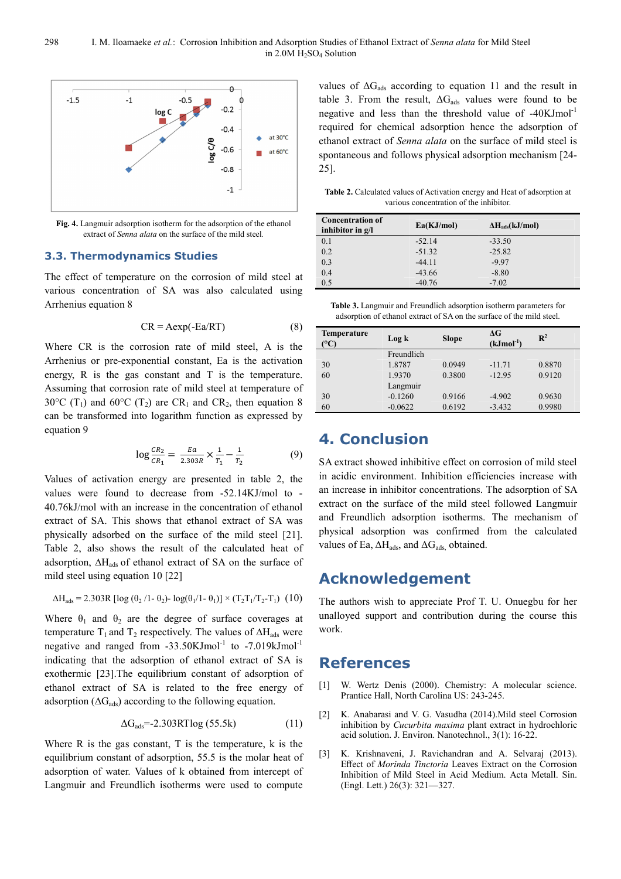

**Fig. 4.** Langmuir adsorption isotherm for the adsorption of the ethanol extract of *Senna alata* on the surface of the mild steel*.*

#### **3.3. Thermodynamics Studies**

The effect of temperature on the corrosion of mild steel at various concentration of SA was also calculated using Arrhenius equation 8

$$
CR = Aexp(-Ea/RT)
$$
 (8)

Where CR is the corrosion rate of mild steel, A is the Arrhenius or pre-exponential constant, Ea is the activation energy, R is the gas constant and T is the temperature. Assuming that corrosion rate of mild steel at temperature of 30°C (T<sub>1</sub>) and 60°C (T<sub>2</sub>) are CR<sub>1</sub> and CR<sub>2</sub>, then equation 8 can be transformed into logarithm function as expressed by equation 9

$$
\log \frac{CR_2}{CR_1} = \frac{Ea}{2.303R} \times \frac{1}{T_1} - \frac{1}{T_2}
$$
 (9)

Values of activation energy are presented in table 2, the values were found to decrease from -52.14KJ/mol to - 40.76kJ/mol with an increase in the concentration of ethanol extract of SA. This shows that ethanol extract of SA was physically adsorbed on the surface of the mild steel [21]. Table 2, also shows the result of the calculated heat of adsorption, ∆Hads of ethanol extract of SA on the surface of mild steel using equation 10 [22]

$$
\Delta H_{ads} = 2.303 R \left[ \log \left( \theta_2 / 1 - \theta_2 \right) - \log \left( \theta_1 / 1 - \theta_1 \right) \right] \times \left( T_2 T_1 / T_2 - T_1 \right) \tag{10}
$$

Where  $\theta_1$  and  $\theta_2$  are the degree of surface coverages at temperature T<sub>1</sub> and T<sub>2</sub> respectively. The values of  $\Delta H_{ads}$  were negative and ranged from  $-33.50$ KJmol<sup>-1</sup> to  $-7.019$ kJmol<sup>-1</sup> indicating that the adsorption of ethanol extract of SA is exothermic [23].The equilibrium constant of adsorption of ethanol extract of SA is related to the free energy of adsorption ( $\Delta G_{ads}$ ) according to the following equation.

$$
\Delta G_{ads} = -2.303 RT \log (55.5k) \tag{11}
$$

Where  $R$  is the gas constant,  $T$  is the temperature,  $k$  is the equilibrium constant of adsorption, 55.5 is the molar heat of adsorption of water. Values of k obtained from intercept of Langmuir and Freundlich isotherms were used to compute values of  $\Delta G_{ads}$  according to equation 11 and the result in table 3. From the result,  $\Delta G_{ads}$  values were found to be negative and less than the threshold value of  $-40$ KJmol<sup>-1</sup> required for chemical adsorption hence the adsorption of ethanol extract of *Senna alata* on the surface of mild steel is spontaneous and follows physical adsorption mechanism [24- 25].

**Table 2.** Calculated values of Activation energy and Heat of adsorption at various concentration of the inhibitor.

| <b>Concentration of</b><br>inhibitor in $g/I$ | Ea(KJ/mol) | $\Delta H_{ads}(kJ/mol)$ |
|-----------------------------------------------|------------|--------------------------|
| 0.1                                           | $-52.14$   | $-33.50$                 |
| 0.2                                           | $-51.32$   | $-25.82$                 |
| 0.3                                           | $-44.11$   | $-9.97$                  |
| 0.4                                           | $-43.66$   | $-8.80$                  |
| 0.5                                           | $-40.76$   | $-7.02$                  |

| <b>Table 3.</b> Langmuir and Freundlich adsorption isotherm parameters for |  |
|----------------------------------------------------------------------------|--|
| adsorption of ethanol extract of SA on the surface of the mild steel.      |  |

| <b>Temperature</b><br>$\rm ^{\circ} C$ ) | Log k      | <b>Slope</b> | $\Delta G$<br>$(kJmol-1)$ | $\mathbf{R}^2$ |
|------------------------------------------|------------|--------------|---------------------------|----------------|
|                                          | Freundlich |              |                           |                |
| 30                                       | 1.8787     | 0.0949       | $-11.71$                  | 0.8870         |
| 60                                       | 1.9370     | 0.3800       | $-12.95$                  | 0.9120         |
|                                          | Langmuir   |              |                           |                |
| 30                                       | $-0.1260$  | 0.9166       | $-4.902$                  | 0.9630         |
| 60                                       | $-0.0622$  | 0.6192       | $-3.432$                  | 0.9980         |

## **4. Conclusion**

SA extract showed inhibitive effect on corrosion of mild steel in acidic environment. Inhibition efficiencies increase with an increase in inhibitor concentrations. The adsorption of SA extract on the surface of the mild steel followed Langmuir and Freundlich adsorption isotherms. The mechanism of physical adsorption was confirmed from the calculated values of Ea,  $\Delta H_{ads}$ , and  $\Delta G_{ads}$ , obtained.

# **Acknowledgement**

The authors wish to appreciate Prof T. U. Onuegbu for her unalloyed support and contribution during the course this work.

### **References**

- [1] W. Wertz Denis (2000). Chemistry: A molecular science. Prantice Hall, North Carolina US: 243-245.
- [2] K. Anabarasi and V. G. Vasudha (2014).Mild steel Corrosion inhibition by *Cucurbita maxima* plant extract in hydrochloric acid solution. J. Environ. Nanotechnol., 3(1): 16-22.
- [3] K. Krishnaveni, J. Ravichandran and A. Selvaraj (2013). Effect of *Morinda Tinctoria* Leaves Extract on the Corrosion Inhibition of Mild Steel in Acid Medium. Acta Metall. Sin. (Engl. Lett.) 26(3): 321—327.